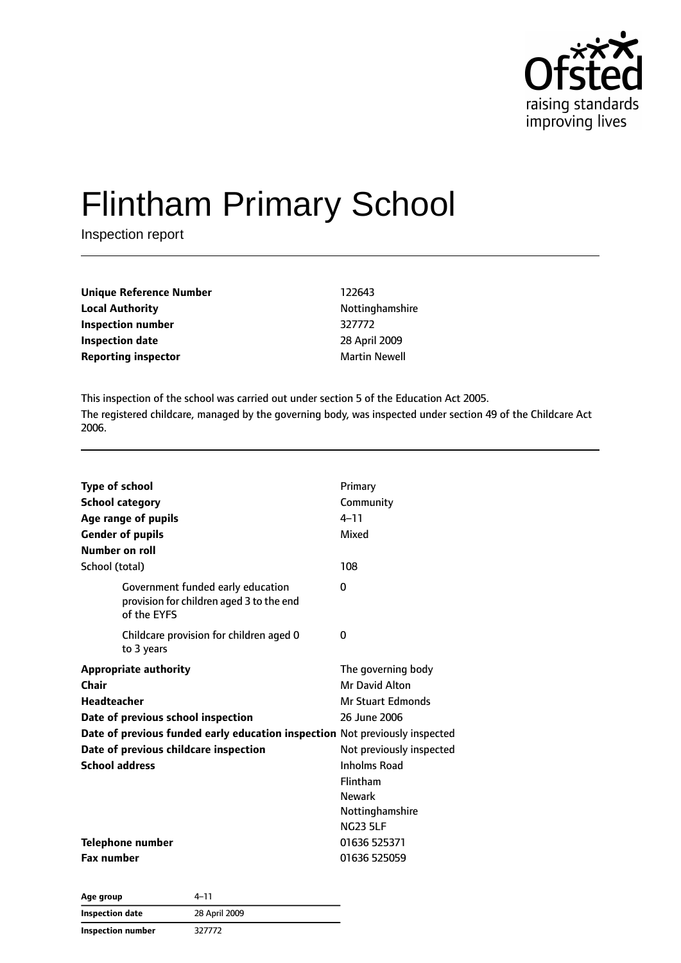

# Flintham Primary School

Inspection report

| Unique Reference Number    | 122643               |
|----------------------------|----------------------|
| <b>Local Authority</b>     | Nottinghamshire      |
| Inspection number          | 327772               |
| <b>Inspection date</b>     | 28 April 2009        |
| <b>Reporting inspector</b> | <b>Martin Newell</b> |

This inspection of the school was carried out under section 5 of the Education Act 2005. The registered childcare, managed by the governing body, was inspected under section 49 of the Childcare Act 2006.

| <b>Type of school</b><br><b>School category</b><br>Age range of pupils<br><b>Gender of pupils</b><br>Number on roll                                                                                                                                | Primary<br>Community<br>$4 - 11$<br>Mixed                                                                                                                                                              |
|----------------------------------------------------------------------------------------------------------------------------------------------------------------------------------------------------------------------------------------------------|--------------------------------------------------------------------------------------------------------------------------------------------------------------------------------------------------------|
| School (total)                                                                                                                                                                                                                                     | 108                                                                                                                                                                                                    |
| Government funded early education<br>provision for children aged 3 to the end<br>of the EYFS                                                                                                                                                       | 0                                                                                                                                                                                                      |
| Childcare provision for children aged 0<br>to 3 years                                                                                                                                                                                              | 0                                                                                                                                                                                                      |
| <b>Appropriate authority</b><br>Chair<br><b>Headteacher</b><br>Date of previous school inspection<br>Date of previous funded early education inspection Not previously inspected<br>Date of previous childcare inspection<br><b>School address</b> | The governing body<br>Mr David Alton<br><b>Mr Stuart Edmonds</b><br>26 June 2006<br>Not previously inspected<br><b>Inholms Road</b><br>Flintham<br><b>Newark</b><br>Nottinghamshire<br><b>NG23 5LF</b> |
| <b>Telephone number</b><br><b>Fax number</b>                                                                                                                                                                                                       | 01636 525371<br>01636 525059                                                                                                                                                                           |

| Age group                | 4–11          |
|--------------------------|---------------|
| <b>Inspection date</b>   | 28 April 2009 |
| <b>Inspection number</b> | 327772        |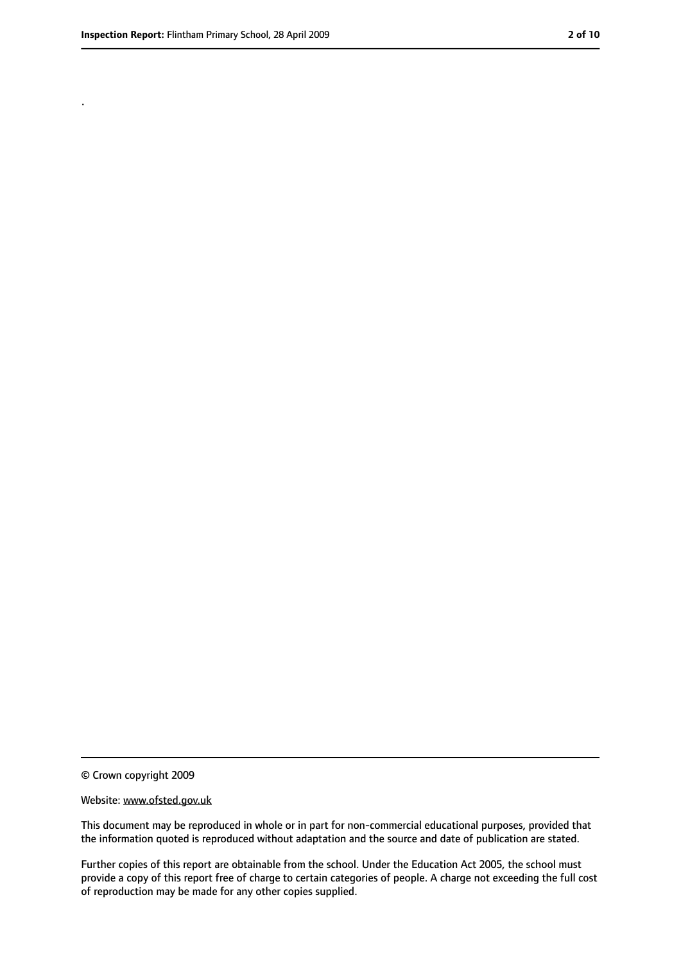.

<sup>©</sup> Crown copyright 2009

Website: www.ofsted.gov.uk

This document may be reproduced in whole or in part for non-commercial educational purposes, provided that the information quoted is reproduced without adaptation and the source and date of publication are stated.

Further copies of this report are obtainable from the school. Under the Education Act 2005, the school must provide a copy of this report free of charge to certain categories of people. A charge not exceeding the full cost of reproduction may be made for any other copies supplied.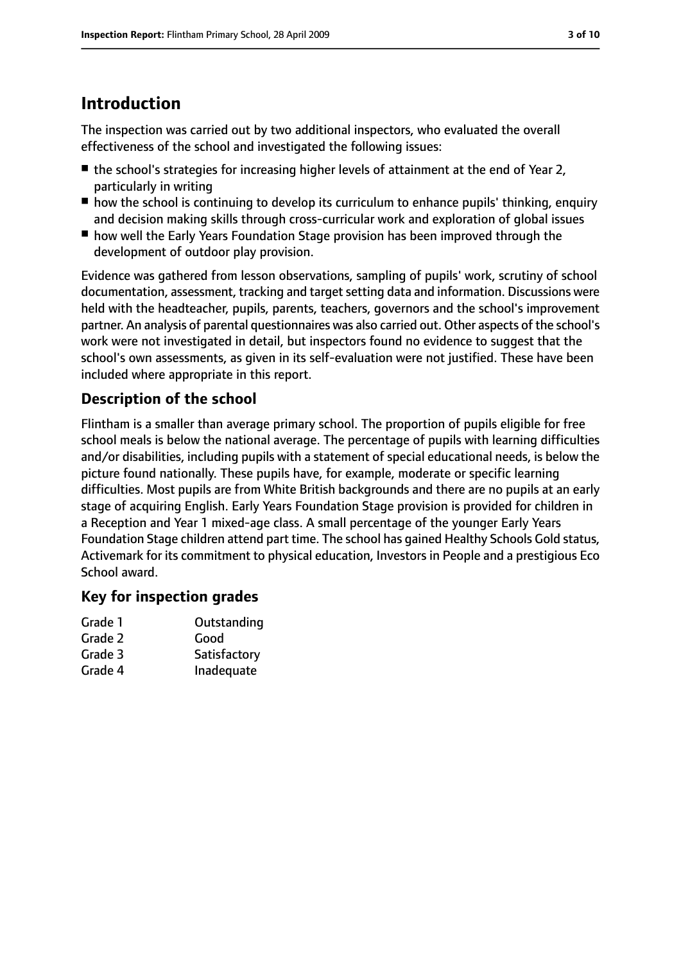# **Introduction**

The inspection was carried out by two additional inspectors, who evaluated the overall effectiveness of the school and investigated the following issues:

- the school's strategies for increasing higher levels of attainment at the end of Year 2, particularly in writing
- how the school is continuing to develop its curriculum to enhance pupils' thinking, enquiry and decision making skills through cross-curricular work and exploration of global issues
- how well the Early Years Foundation Stage provision has been improved through the development of outdoor play provision.

Evidence was gathered from lesson observations, sampling of pupils' work, scrutiny of school documentation, assessment, tracking and target setting data and information. Discussions were held with the headteacher, pupils, parents, teachers, governors and the school's improvement partner. An analysis of parental questionnaires was also carried out. Other aspects of the school's work were not investigated in detail, but inspectors found no evidence to suggest that the school's own assessments, as given in its self-evaluation were not justified. These have been included where appropriate in this report.

#### **Description of the school**

Flintham is a smaller than average primary school. The proportion of pupils eligible for free school meals is below the national average. The percentage of pupils with learning difficulties and/or disabilities, including pupils with a statement of special educational needs, is below the picture found nationally. These pupils have, for example, moderate or specific learning difficulties. Most pupils are from White British backgrounds and there are no pupils at an early stage of acquiring English. Early Years Foundation Stage provision is provided for children in a Reception and Year 1 mixed-age class. A small percentage of the younger Early Years Foundation Stage children attend part time. The school has gained Healthy Schools Gold status, Activemark for its commitment to physical education, Investors in People and a prestigious Eco School award.

#### **Key for inspection grades**

| Grade 1 | Outstanding  |
|---------|--------------|
| Grade 2 | Good         |
| Grade 3 | Satisfactory |
| Grade 4 | Inadequate   |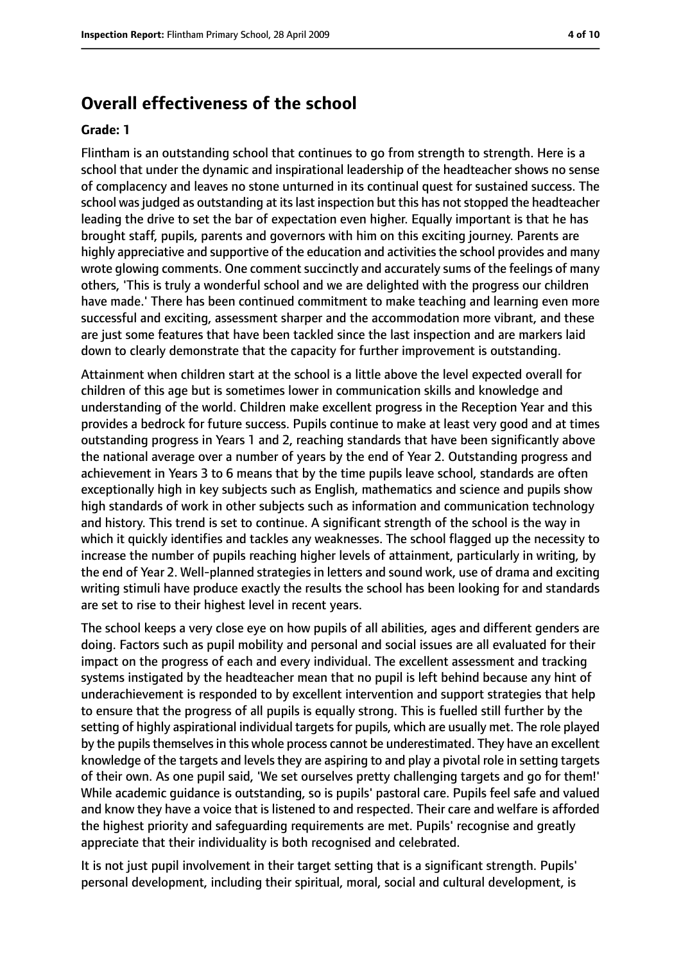### **Overall effectiveness of the school**

#### **Grade: 1**

Flintham is an outstanding school that continues to go from strength to strength. Here is a school that under the dynamic and inspirational leadership of the headteacher shows no sense of complacency and leaves no stone unturned in its continual quest for sustained success. The school was judged as outstanding at its last inspection but this has not stopped the headteacher leading the drive to set the bar of expectation even higher. Equally important is that he has brought staff, pupils, parents and governors with him on this exciting journey. Parents are highly appreciative and supportive of the education and activities the school provides and many wrote glowing comments. One comment succinctly and accurately sums of the feelings of many others, 'This is truly a wonderful school and we are delighted with the progress our children have made.' There has been continued commitment to make teaching and learning even more successful and exciting, assessment sharper and the accommodation more vibrant, and these are just some features that have been tackled since the last inspection and are markers laid down to clearly demonstrate that the capacity for further improvement is outstanding.

Attainment when children start at the school is a little above the level expected overall for children of this age but is sometimes lower in communication skills and knowledge and understanding of the world. Children make excellent progress in the Reception Year and this provides a bedrock for future success. Pupils continue to make at least very good and at times outstanding progress in Years 1 and 2, reaching standards that have been significantly above the national average over a number of years by the end of Year 2. Outstanding progress and achievement in Years 3 to 6 means that by the time pupils leave school, standards are often exceptionally high in key subjects such as English, mathematics and science and pupils show high standards of work in other subjects such as information and communication technology and history. This trend is set to continue. A significant strength of the school is the way in which it quickly identifies and tackles any weaknesses. The school flagged up the necessity to increase the number of pupils reaching higher levels of attainment, particularly in writing, by the end of Year 2. Well-planned strategies in letters and sound work, use of drama and exciting writing stimuli have produce exactly the results the school has been looking for and standards are set to rise to their highest level in recent years.

The school keeps a very close eye on how pupils of all abilities, ages and different genders are doing. Factors such as pupil mobility and personal and social issues are all evaluated for their impact on the progress of each and every individual. The excellent assessment and tracking systems instigated by the headteacher mean that no pupil is left behind because any hint of underachievement is responded to by excellent intervention and support strategies that help to ensure that the progress of all pupils is equally strong. This is fuelled still further by the setting of highly aspirational individual targets for pupils, which are usually met. The role played by the pupils themselves in this whole process cannot be underestimated. They have an excellent knowledge of the targets and levels they are aspiring to and play a pivotal role in setting targets of their own. As one pupil said, 'We set ourselves pretty challenging targets and go for them!' While academic guidance is outstanding, so is pupils' pastoral care. Pupils feel safe and valued and know they have a voice that is listened to and respected. Their care and welfare is afforded the highest priority and safeguarding requirements are met. Pupils' recognise and greatly appreciate that their individuality is both recognised and celebrated.

It is not just pupil involvement in their target setting that is a significant strength. Pupils' personal development, including their spiritual, moral, social and cultural development, is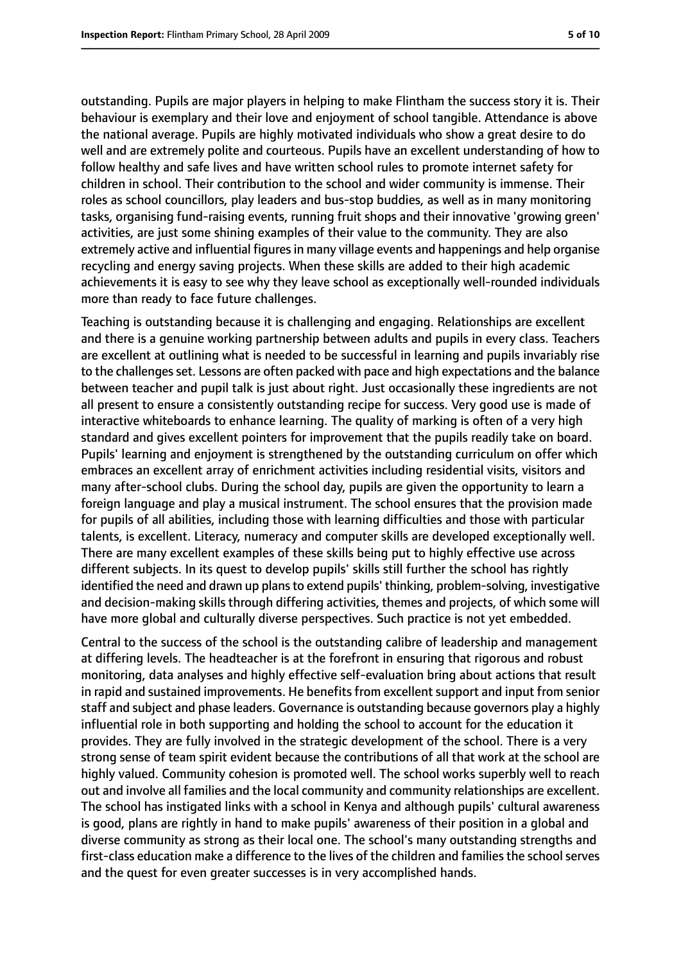outstanding. Pupils are major players in helping to make Flintham the success story it is. Their behaviour is exemplary and their love and enjoyment of school tangible. Attendance is above the national average. Pupils are highly motivated individuals who show a great desire to do well and are extremely polite and courteous. Pupils have an excellent understanding of how to follow healthy and safe lives and have written school rules to promote internet safety for children in school. Their contribution to the school and wider community is immense. Their roles as school councillors, play leaders and bus-stop buddies, as well as in many monitoring tasks, organising fund-raising events, running fruit shops and their innovative 'growing green' activities, are just some shining examples of their value to the community. They are also extremely active and influential figures in many village events and happenings and help organise recycling and energy saving projects. When these skills are added to their high academic achievements it is easy to see why they leave school as exceptionally well-rounded individuals more than ready to face future challenges.

Teaching is outstanding because it is challenging and engaging. Relationships are excellent and there is a genuine working partnership between adults and pupils in every class. Teachers are excellent at outlining what is needed to be successful in learning and pupils invariably rise to the challenges set. Lessons are often packed with pace and high expectations and the balance between teacher and pupil talk is just about right. Just occasionally these ingredients are not all present to ensure a consistently outstanding recipe for success. Very good use is made of interactive whiteboards to enhance learning. The quality of marking is often of a very high standard and gives excellent pointers for improvement that the pupils readily take on board. Pupils' learning and enjoyment is strengthened by the outstanding curriculum on offer which embraces an excellent array of enrichment activities including residential visits, visitors and many after-school clubs. During the school day, pupils are given the opportunity to learn a foreign language and play a musical instrument. The school ensures that the provision made for pupils of all abilities, including those with learning difficulties and those with particular talents, is excellent. Literacy, numeracy and computer skills are developed exceptionally well. There are many excellent examples of these skills being put to highly effective use across different subjects. In its quest to develop pupils' skills still further the school has rightly identified the need and drawn up plans to extend pupils' thinking, problem-solving, investigative and decision-making skills through differing activities, themes and projects, of which some will have more global and culturally diverse perspectives. Such practice is not yet embedded.

Central to the success of the school is the outstanding calibre of leadership and management at differing levels. The headteacher is at the forefront in ensuring that rigorous and robust monitoring, data analyses and highly effective self-evaluation bring about actions that result in rapid and sustained improvements. He benefits from excellent support and input from senior staff and subject and phase leaders. Governance is outstanding because governors play a highly influential role in both supporting and holding the school to account for the education it provides. They are fully involved in the strategic development of the school. There is a very strong sense of team spirit evident because the contributions of all that work at the school are highly valued. Community cohesion is promoted well. The school works superbly well to reach out and involve all families and the local community and community relationships are excellent. The school has instigated links with a school in Kenya and although pupils' cultural awareness is good, plans are rightly in hand to make pupils' awareness of their position in a global and diverse community as strong as their local one. The school's many outstanding strengths and first-class education make a difference to the lives of the children and families the school serves and the quest for even greater successes is in very accomplished hands.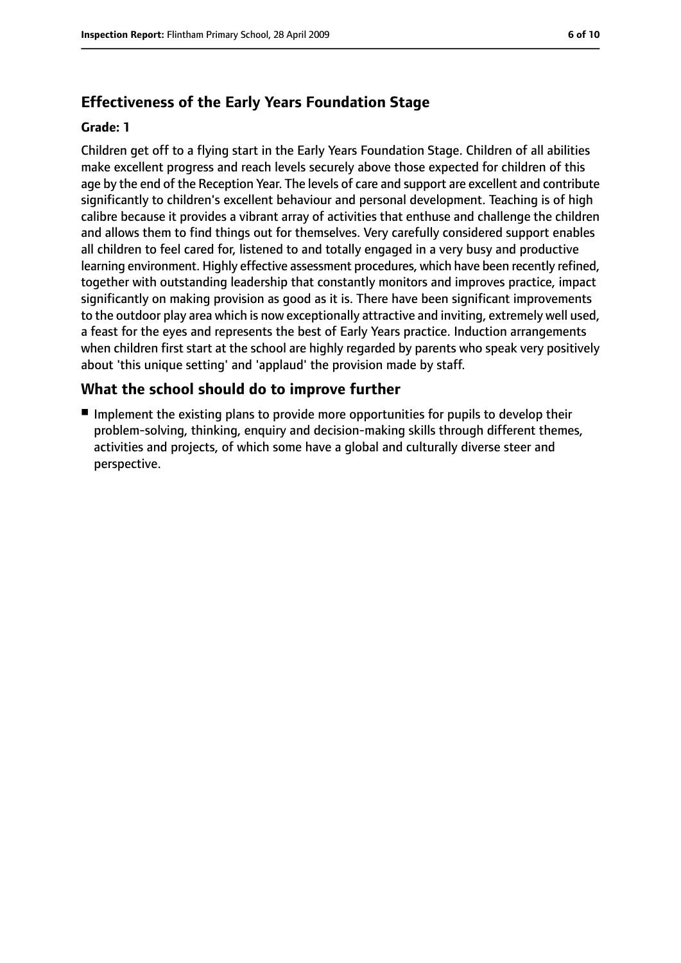#### **Effectiveness of the Early Years Foundation Stage**

#### **Grade: 1**

Children get off to a flying start in the Early Years Foundation Stage. Children of all abilities make excellent progress and reach levels securely above those expected for children of this age by the end of the Reception Year. The levels of care and support are excellent and contribute significantly to children's excellent behaviour and personal development. Teaching is of high calibre because it provides a vibrant array of activities that enthuse and challenge the children and allows them to find things out for themselves. Very carefully considered support enables all children to feel cared for, listened to and totally engaged in a very busy and productive learning environment. Highly effective assessment procedures, which have been recently refined, together with outstanding leadership that constantly monitors and improves practice, impact significantly on making provision as good as it is. There have been significant improvements to the outdoor play area which is now exceptionally attractive and inviting, extremely well used, a feast for the eyes and represents the best of Early Years practice. Induction arrangements when children first start at the school are highly regarded by parents who speak very positively about 'this unique setting' and 'applaud' the provision made by staff.

#### **What the school should do to improve further**

■ Implement the existing plans to provide more opportunities for pupils to develop their problem-solving, thinking, enquiry and decision-making skills through different themes, activities and projects, of which some have a global and culturally diverse steer and perspective.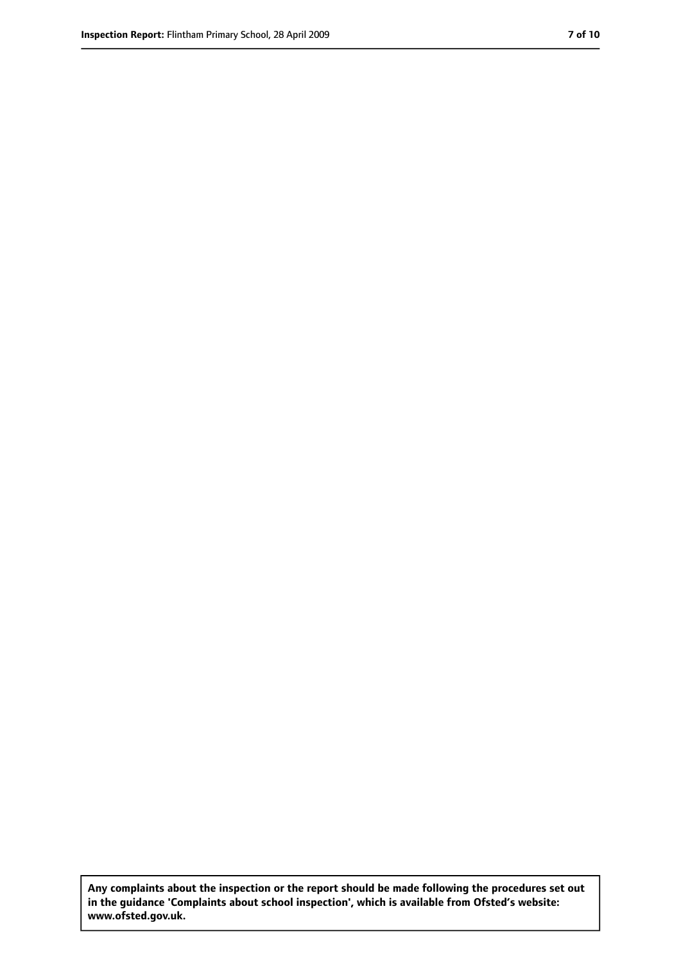**Any complaints about the inspection or the report should be made following the procedures set out in the guidance 'Complaints about school inspection', which is available from Ofsted's website: www.ofsted.gov.uk.**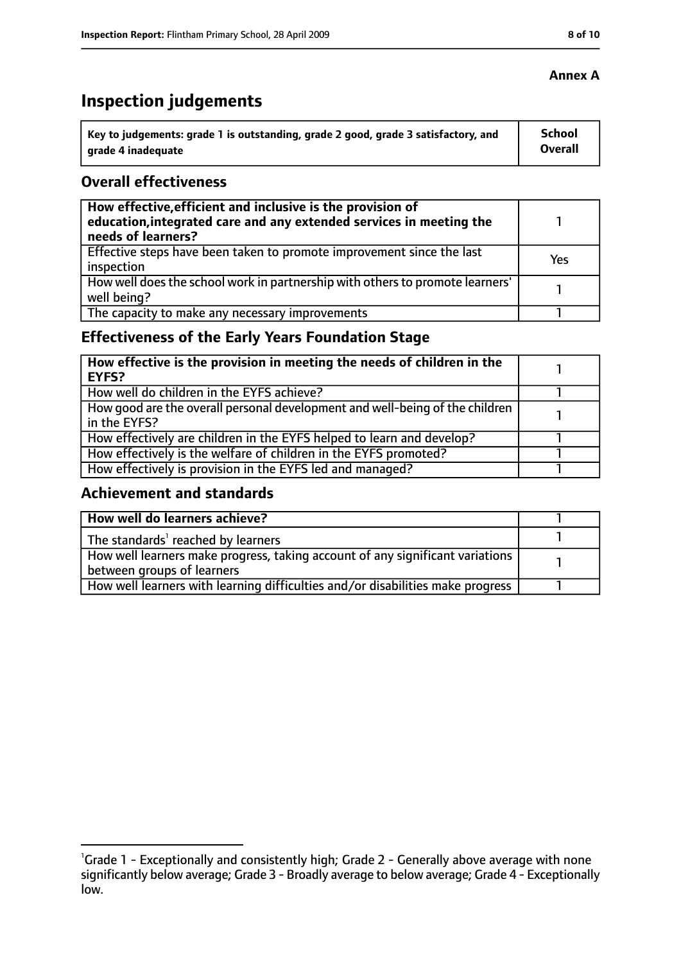# **Inspection judgements**

| \ Key to judgements: grade 1 is outstanding, grade 2 good, grade 3 satisfactory, and | <b>School</b>  |
|--------------------------------------------------------------------------------------|----------------|
| arade 4 inadequate                                                                   | <b>Overall</b> |

#### **Overall effectiveness**

| How effective, efficient and inclusive is the provision of<br>education, integrated care and any extended services in meeting the<br>needs of learners? |     |
|---------------------------------------------------------------------------------------------------------------------------------------------------------|-----|
| Effective steps have been taken to promote improvement since the last<br>inspection                                                                     | Yes |
| How well does the school work in partnership with others to promote learners'<br>well being?                                                            |     |
| The capacity to make any necessary improvements                                                                                                         |     |

## **Effectiveness of the Early Years Foundation Stage**

| How effective is the provision in meeting the needs of children in the<br>l EYFS?            |  |
|----------------------------------------------------------------------------------------------|--|
| How well do children in the EYFS achieve?                                                    |  |
| How good are the overall personal development and well-being of the children<br>in the EYFS? |  |
| How effectively are children in the EYFS helped to learn and develop?                        |  |
| How effectively is the welfare of children in the EYFS promoted?                             |  |
| How effectively is provision in the EYFS led and managed?                                    |  |

#### **Achievement and standards**

| How well do learners achieve?                                                  |  |
|--------------------------------------------------------------------------------|--|
| The standards <sup>1</sup> reached by learners                                 |  |
| How well learners make progress, taking account of any significant variations  |  |
| between groups of learners                                                     |  |
| How well learners with learning difficulties and/or disabilities make progress |  |

#### **Annex A**

<sup>&</sup>lt;sup>1</sup>Grade 1 - Exceptionally and consistently high; Grade 2 - Generally above average with none significantly below average; Grade 3 - Broadly average to below average; Grade 4 - Exceptionally low.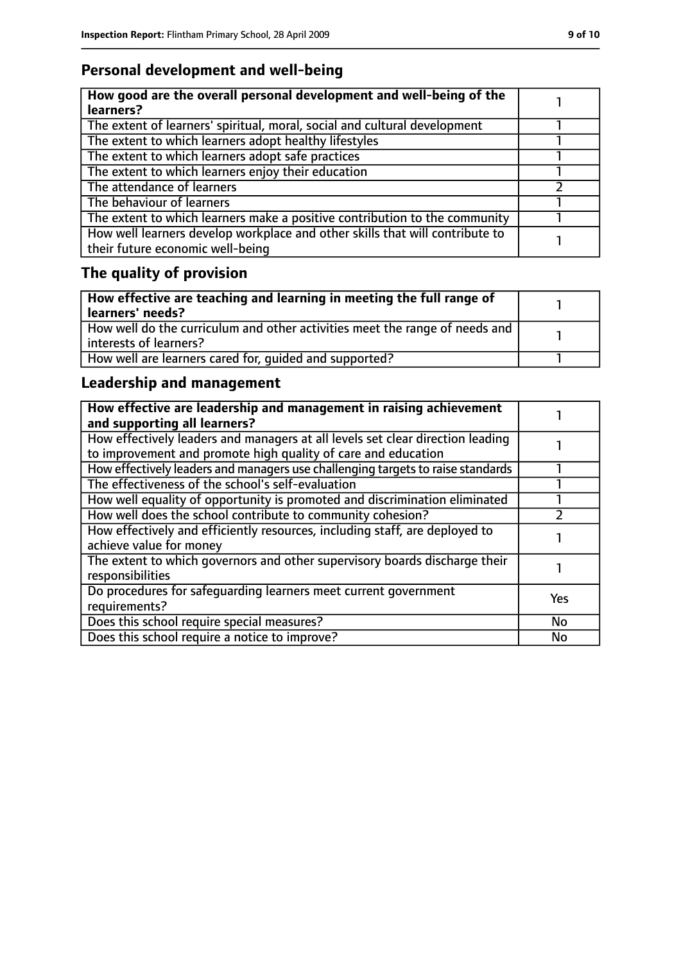## **Personal development and well-being**

| How good are the overall personal development and well-being of the<br>learners?                                 |  |
|------------------------------------------------------------------------------------------------------------------|--|
| The extent of learners' spiritual, moral, social and cultural development                                        |  |
| The extent to which learners adopt healthy lifestyles                                                            |  |
| The extent to which learners adopt safe practices                                                                |  |
| The extent to which learners enjoy their education                                                               |  |
| The attendance of learners                                                                                       |  |
| The behaviour of learners                                                                                        |  |
| The extent to which learners make a positive contribution to the community                                       |  |
| How well learners develop workplace and other skills that will contribute to<br>their future economic well-being |  |

# **The quality of provision**

| $\mid$ How effective are teaching and learning in meeting the full range of<br>  learners' needs?       |  |
|---------------------------------------------------------------------------------------------------------|--|
| How well do the curriculum and other activities meet the range of needs and<br>  interests of learners? |  |
| How well are learners cared for, quided and supported?                                                  |  |

## **Leadership and management**

| How effective are leadership and management in raising achievement<br>and supporting all learners?                                              |     |
|-------------------------------------------------------------------------------------------------------------------------------------------------|-----|
| How effectively leaders and managers at all levels set clear direction leading<br>to improvement and promote high quality of care and education |     |
| How effectively leaders and managers use challenging targets to raise standards                                                                 |     |
| The effectiveness of the school's self-evaluation                                                                                               |     |
| How well equality of opportunity is promoted and discrimination eliminated                                                                      |     |
| How well does the school contribute to community cohesion?                                                                                      |     |
| How effectively and efficiently resources, including staff, are deployed to<br>achieve value for money                                          |     |
| The extent to which governors and other supervisory boards discharge their<br>responsibilities                                                  |     |
| Do procedures for safequarding learners meet current government<br>requirements?                                                                | Yes |
| Does this school require special measures?                                                                                                      | No  |
| Does this school require a notice to improve?                                                                                                   | No  |